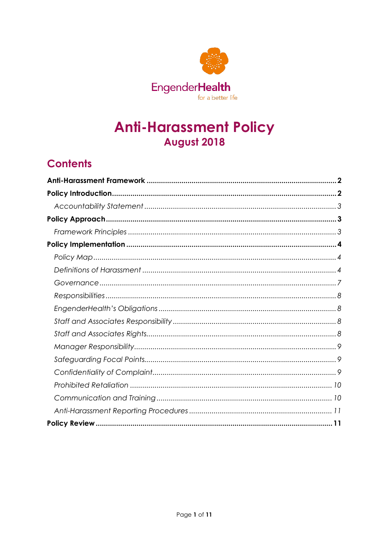

# **Anti-Harassment Policy** August 2018

# **Contents**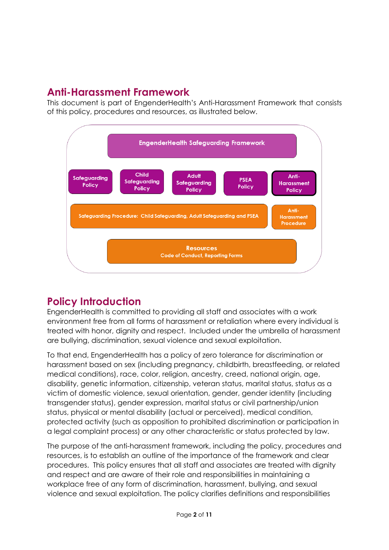# <span id="page-1-0"></span>**Anti-Harassment Framework**

This document is part of EngenderHealth's Anti-Harassment Framework that consists of this policy, procedures and resources, as illustrated below.



# <span id="page-1-1"></span>**Policy Introduction**

EngenderHealth is committed to providing all staff and associates with a work environment free from all forms of harassment or retaliation where every individual is treated with honor, dignity and respect. Included under the umbrella of harassment are bullying, discrimination, sexual violence and sexual exploitation.

To that end, EngenderHealth has a policy of zero tolerance for discrimination or harassment based on sex (including pregnancy, childbirth, breastfeeding, or related medical conditions), race, color, religion, ancestry, creed, national origin, age, disability, genetic information, citizenship, veteran status, marital status, status as a victim of domestic violence, sexual orientation, gender, gender identity (including transgender status), gender expression, marital status or civil partnership/union status, physical or mental disability (actual or perceived), medical condition, protected activity (such as opposition to prohibited discrimination or participation in a legal complaint process) or any other characteristic or status protected by law.

The purpose of the anti-harassment framework, including the policy, procedures and resources, is to establish an outline of the importance of the framework and clear procedures. This policy ensures that all staff and associates are treated with dignity and respect and are aware of their role and responsibilities in maintaining a workplace free of any form of discrimination, harassment, bullying, and sexual violence and sexual exploitation. The policy clarifies definitions and responsibilities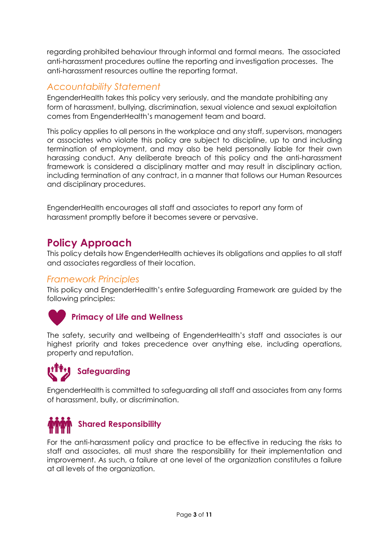regarding prohibited behaviour through informal and formal means. The associated anti-harassment procedures outline the reporting and investigation processes. The anti-harassment resources outline the reporting format.

## <span id="page-2-0"></span>*Accountability Statement*

EngenderHealth takes this policy very seriously, and the mandate prohibiting any form of harassment, bullying, discrimination, sexual violence and sexual exploitation comes from EngenderHealth's management team and board.

This policy applies to all persons in the workplace and any staff, supervisors, managers or associates who violate this policy are subject to discipline, up to and including termination of employment, and may also be held personally liable for their own harassing conduct. Any deliberate breach of this policy and the anti-harassment framework is considered a disciplinary matter and may result in disciplinary action, including termination of any contract, in a manner that follows our Human Resources and disciplinary procedures.

EngenderHealth encourages all staff and associates to report any form of harassment promptly before it becomes severe or pervasive.

# <span id="page-2-1"></span>**Policy Approach**

This policy details how EngenderHealth achieves its obligations and applies to all staff and associates regardless of their location.

## <span id="page-2-2"></span>*Framework Principles*

This policy and EngenderHealth's entire Safeguarding Framework are guided by the following principles:



## **Primacy of Life and Wellness**

The safety, security and wellbeing of EngenderHealth's staff and associates is our highest priority and takes precedence over anything else, including operations, property and reputation.



EngenderHealth is committed to safeguarding all staff and associates from any forms of harassment, bully, or discrimination.



For the anti-harassment policy and practice to be effective in reducing the risks to staff and associates, all must share the responsibility for their implementation and improvement. As such, a failure at one level of the organization constitutes a failure at all levels of the organization.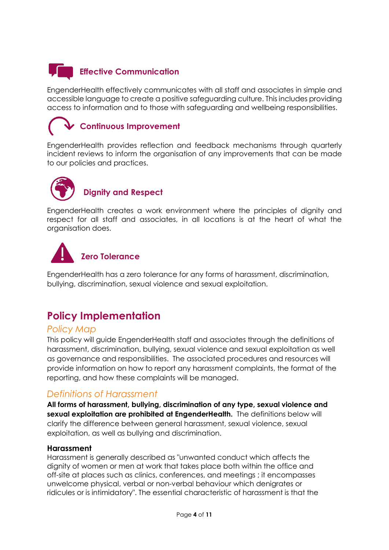# **Effective Communication**

EngenderHealth effectively communicates with all staff and associates in simple and accessible language to create a positive safeguarding culture. This includes providing access to information and to those with safeguarding and wellbeing responsibilities.

# **Continuous Improvement**

EngenderHealth provides reflection and feedback mechanisms through quarterly incident reviews to inform the organisation of any improvements that can be made to our policies and practices.



# **Dignity and Respect**

EngenderHealth creates a work environment where the principles of dignity and respect for all staff and associates, in all locations is at the heart of what the organisation does.



# **Zero Tolerance**

EngenderHealth has a zero tolerance for any forms of harassment, discrimination, bullying, discrimination, sexual violence and sexual exploitation.

# <span id="page-3-0"></span>**Policy Implementation**

## <span id="page-3-1"></span>*Policy Map*

This policy will guide EngenderHealth staff and associates through the definitions of harassment, discrimination, bullying, sexual violence and sexual exploitation as well as governance and responsibilities. The associated procedures and resources will provide information on how to report any harassment complaints, the format of the reporting, and how these complaints will be managed.

## <span id="page-3-2"></span>*Definitions of Harassment*

**All forms of harassment, bullying, discrimination of any type, sexual violence and sexual exploitation are prohibited at EngenderHealth.** The definitions below will clarify the difference between general harassment, sexual violence, sexual exploitation, as well as bullying and discrimination.

#### **Harassment**

Harassment is generally described as "unwanted conduct which affects the dignity of women or men at work that takes place both within the office and off-site at places such as clinics, conferences, and meetings ; it encompasses unwelcome physical, verbal or non-verbal behaviour which denigrates or ridicules or is intimidatory". The essential characteristic of harassment is that the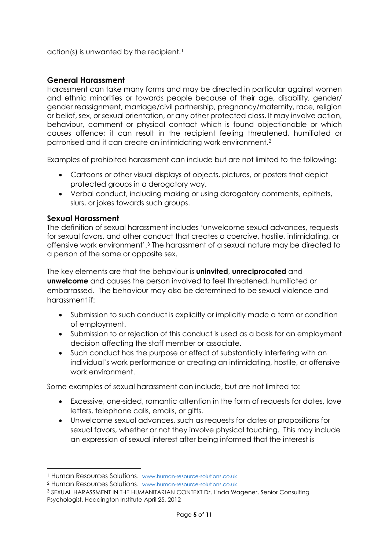$action(s)$  is unwanted by the recipient.<sup>[1](#page-4-0)</sup>

#### **General Harassment**

Harassment can take many forms and may be directed in particular against women and ethnic minorities or towards people because of their age, disability, gender/ gender reassignment, marriage/civil partnership, pregnancy/maternity, race, religion or belief, sex, or sexual orientation, or any other protected class. It may involve action, behaviour, comment or physical contact which is found objectionable or which causes offence; it can result in the recipient feeling threatened, humiliated or patronised and it can create an intimidating work environment.[2](#page-4-1)

Examples of prohibited harassment can include but are not limited to the following:

- Cartoons or other visual displays of objects, pictures, or posters that depict protected groups in a derogatory way.
- Verbal conduct, including making or using derogatory comments, epithets, slurs, or jokes towards such groups.

#### **Sexual Harassment**

The definition of sexual harassment includes 'unwelcome sexual advances, requests for sexual favors, and other conduct that creates a coercive, hostile, intimidating, or offensive work environment'.[3](#page-4-2) The harassment of a sexual nature may be directed to a person of the same or opposite sex.

The key elements are that the behaviour is **uninvited**, **unreciprocated** and **unwelcome** and causes the person involved to feel threatened, humiliated or embarrassed. The behaviour may also be determined to be sexual violence and harassment if:

- Submission to such conduct is explicitly or implicitly made a term or condition of employment.
- Submission to or rejection of this conduct is used as a basis for an employment decision affecting the staff member or associate.
- Such conduct has the purpose or effect of substantially interfering with an individual's work performance or creating an intimidating, hostile, or offensive work environment.

Some examples of sexual harassment can include, but are not limited to:

- Excessive, one-sided, romantic attention in the form of requests for dates, love letters, telephone calls, emails, or gifts.
- Unwelcome sexual advances, such as requests for dates or propositions for sexual favors, whether or not they involve physical touching. This may include an expression of sexual interest after being informed that the interest is

<span id="page-4-0"></span> <sup>1</sup> Human Resources Solutions. [www.human-resource-solutions.co.uk](http://www.human-resource-solutions.co.uk/)

<span id="page-4-1"></span><sup>2</sup> Human Resources Solutions. [www.human-resource-solutions.co.uk](http://www.human-resource-solutions.co.uk/)

<span id="page-4-2"></span><sup>3</sup> SEXUAL HARASSMENT IN THE HUMANITARIAN CONTEXT Dr. Linda Wagener, Senior Consulting Psychologist, Headington Institute April 25, 2012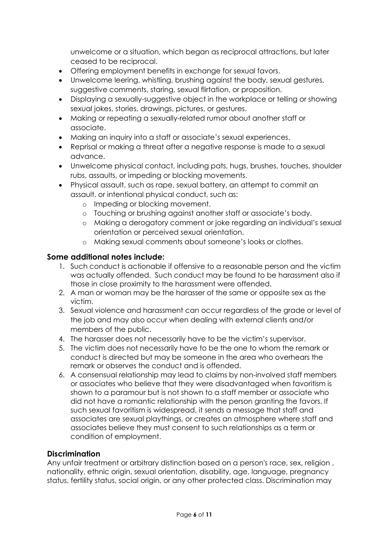unwelcome or a situation, which began as reciprocal attractions, but later ceased to be reciprocal.

- Offering employment benefits in exchange for sexual favors.
- Unwelcome leering, whistling, brushing against the body, sexual gestures, suggestive comments, staring, sexual flirtation, or proposition.
- Displaying a sexually-suggestive object in the workplace or telling or showing sexual jokes, stories, drawings, pictures, or gestures.
- Making or repeating a sexually-related rumor about another staff or associate.
- Making an inquiry into a staff or associate's sexual experiences.
- Reprisal or making a threat after a negative response is made to a sexual advance.
- Unwelcome physical contact, including pats, hugs, brushes, touches, shoulder rubs, assaults, or impeding or blocking movements.
- Physical assault, such as rape, sexual battery, an attempt to commit an assault, or intentional physical conduct, such as:
	- o Impeding or blocking movement.
	- o Touching or brushing against another staff or associate's body.
	- o Making a derogatory comment or joke regarding an individual's sexual orientation or perceived sexual orientation.
	- o Making sexual comments about someone's looks or clothes.

#### **Some additional notes include:**

- 1. Such conduct is actionable if offensive to a reasonable person and the victim was actually offended. Such conduct may be found to be harassment also if those in close proximity to the harassment were offended.
- 2. A man or woman may be the harasser of the same or opposite sex as the victim.
- 3. Sexual violence and harassment can occur regardless of the grade or level of the job and may also occur when dealing with external clients and/or members of the public.
- 4. The harasser does not necessarily have to be the victim's supervisor.
- 5. The victim does not necessarily have to be the one to whom the remark or conduct is directed but may be someone in the area who overhears the remark or observes the conduct and is offended.
- 6. A consensual relationship may lead to claims by non-involved staff members or associates who believe that they were disadvantaged when favoritism is shown to a paramour but is not shown to a staff member or associate who did not have a romantic relationship with the person granting the favors. If such sexual favoritism is widespread, it sends a message that staff and associates are sexual playthings, or creates an atmosphere where staff and associates believe they must consent to such relationships as a term or condition of employment.

#### **Discrimination**

Any unfair treatment or arbitrary distinction based on a person's race, sex, religion, nationality, ethnic origin, sexual orientation, disability, age, language, pregnancy status, fertility status, social origin, or any other protected class. Discrimination may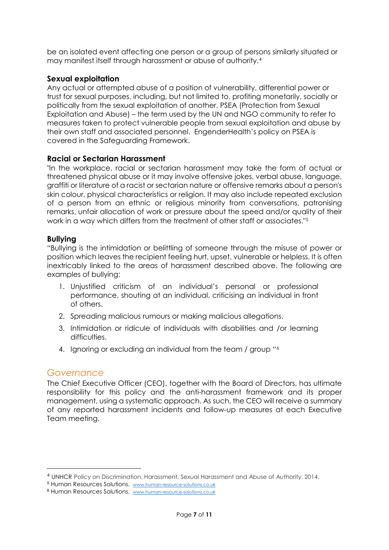be an isolated event affecting one person or a group of persons similarly situated or may manifest itself through harassment or abuse of authority.[4](#page-6-1)

#### **Sexual exploitation**

Any actual or attempted abuse of a position of vulnerability, differential power or trust for sexual purposes, including, but not limited to, profiting monetarily, socially or politically from the sexual exploitation of another. PSEA (Protection from Sexual Exploitation and Abuse) – the term used by the UN and NGO community to refer to measures taken to protect vulnerable people from sexual exploitation and abuse by their own staff and associated personnel. EngenderHealth's policy on PSEA is covered in the Safeguarding Framework.

#### **Racial or Sectarian Harassment**

"In the workplace, racial or sectarian harassment may take the form of actual or threatened physical abuse or it may involve offensive jokes, verbal abuse, language, graffiti or literature of a racist or sectarian nature or offensive remarks about a person's skin colour, physical characteristics or religion. It may also include repeated exclusion of a person from an ethnic or religious minority from conversations, patronising remarks, unfair allocation of work or pressure about the speed and/or quality of their work in a way which differs from the treatment of other staff or associates."[5](#page-6-2)

#### **Bullying**

"Bullying is the intimidation or belittling of someone through the misuse of power or position which leaves the recipient feeling hurt, upset, vulnerable or helpless. It is often inextricably linked to the areas of harassment described above. The following are examples of bullying:

- 1. Unjustified criticism of an individual's personal or professional performance, shouting at an individual, criticising an individual in front of others.
- 2. Spreading malicious rumours or making malicious allegations.
- 3. Intimidation or ridicule of individuals with disabilities and /or learning difficulties.
- 4. Ignoring or excluding an individual from the team / group "[6](#page-6-3)

#### <span id="page-6-0"></span>*Governance*

The Chief Executive Officer (CEO), together with the Board of Directors, has ultimate responsibility for this policy and the anti-harassment framework and its proper management, using a systematic approach. As such, the CEO will receive a summary of any reported harassment incidents and follow-up measures at each Executive Team meeting.

<span id="page-6-1"></span> <sup>4</sup> UNHCR Policy on Discrimination, Harassment, Sexual Harassment and Abuse of Authority. 2014.

<span id="page-6-2"></span><sup>5</sup> Human Resources Solutions. [www.human-resource-solutions.co.uk](http://www.human-resource-solutions.co.uk/)

<span id="page-6-3"></span><sup>6</sup> Human Resources Solutions. [www.human-resource-solutions.co.uk](http://www.human-resource-solutions.co.uk/)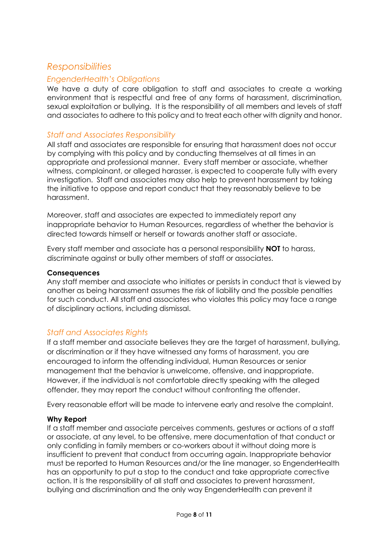## <span id="page-7-0"></span>*Responsibilities*

#### <span id="page-7-1"></span>*EngenderHealth's Obligations*

We have a duty of care obligation to staff and associates to create a working environment that is respectful and free of any forms of harassment, discrimination, sexual exploitation or bullying. It is the responsibility of all members and levels of staff and associates to adhere to this policy and to treat each other with dignity and honor.

#### <span id="page-7-2"></span>*Staff and Associates Responsibility*

All staff and associates are responsible for ensuring that harassment does not occur by complying with this policy and by conducting themselves at all times in an appropriate and professional manner. Every staff member or associate, whether witness, complainant, or alleged harasser, is expected to cooperate fully with every investigation. Staff and associates may also help to prevent harassment by taking the initiative to oppose and report conduct that they reasonably believe to be harassment.

Moreover, staff and associates are expected to immediately report any inappropriate behavior to Human Resources, regardless of whether the behavior is directed towards himself or herself or towards another staff or associate.

Every staff member and associate has a personal responsibility **NOT** to harass, discriminate against or bully other members of staff or associates.

#### **Consequences**

Any staff member and associate who initiates or persists in conduct that is viewed by another as being harassment assumes the risk of liability and the possible penalties for such conduct. All staff and associates who violates this policy may face a range of disciplinary actions, including dismissal.

#### <span id="page-7-3"></span>*Staff and Associates Rights*

If a staff member and associate believes they are the target of harassment, bullying, or discrimination or if they have witnessed any forms of harassment, you are encouraged to inform the offending individual, Human Resources or senior management that the behavior is unwelcome, offensive, and inappropriate. However, if the individual is not comfortable directly speaking with the alleged offender, they may report the conduct without confronting the offender.

Every reasonable effort will be made to intervene early and resolve the complaint.

#### **Why Report**

If a staff member and associate perceives comments, gestures or actions of a staff or associate, at any level, to be offensive, mere documentation of that conduct or only confiding in family members or co-workers about it without doing more is insufficient to prevent that conduct from occurring again. Inappropriate behavior must be reported to Human Resources and/or the line manager, so EngenderHealth has an opportunity to put a stop to the conduct and take appropriate corrective action. It is the responsibility of all staff and associates to prevent harassment, bullying and discrimination and the only way EngenderHealth can prevent it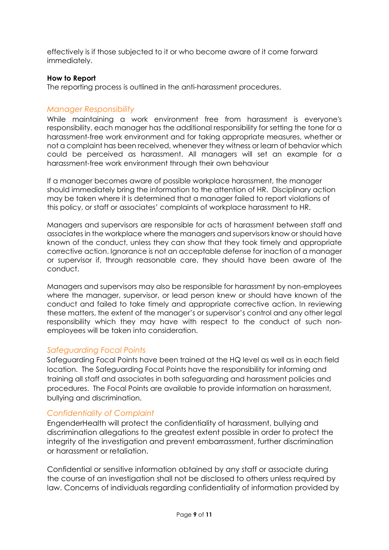effectively is if those subjected to it or who become aware of it come forward immediately.

#### **How to Report**

The reporting process is outlined in the anti-harassment procedures.

#### <span id="page-8-0"></span>*Manager Responsibility*

While maintaining a work environment free from harassment is everyone's responsibility, each manager has the additional responsibility for setting the tone for a harassment-free work environment and for taking appropriate measures, whether or not a complaint has been received, whenever they witness or learn of behavior which could be perceived as harassment. All managers will set an example for a harassment-free work environment through their own behaviour

If a manager becomes aware of possible workplace harassment, the manager should immediately bring the information to the attention of HR. Disciplinary action may be taken where it is determined that a manager failed to report violations of this policy, or staff or associates' complaints of workplace harassment to HR.

Managers and supervisors are responsible for acts of harassment between staff and associates in the workplace where the managers and supervisors know or should have known of the conduct, unless they can show that they took timely and appropriate corrective action. Ignorance is not an acceptable defense for inaction of a manager or supervisor if, through reasonable care, they should have been aware of the conduct.

Managers and supervisors may also be responsible for harassment by non-employees where the manager, supervisor, or lead person knew or should have known of the conduct and failed to take timely and appropriate corrective action. In reviewing these matters, the extent of the manager's or supervisor's control and any other legal responsibility which they may have with respect to the conduct of such nonemployees will be taken into consideration.

#### <span id="page-8-1"></span>*Safeguarding Focal Points*

Safeguarding Focal Points have been trained at the HQ level as well as in each field location. The Safeguarding Focal Points have the responsibility for informing and training all staff and associates in both safeguarding and harassment policies and procedures. The Focal Points are available to provide information on harassment, bullying and discrimination.

#### <span id="page-8-2"></span>*Confidentiality of Complaint*

EngenderHealth will protect the confidentiality of harassment, bullying and discrimination allegations to the greatest extent possible in order to protect the integrity of the investigation and prevent embarrassment, further discrimination or harassment or retaliation.

Confidential or sensitive information obtained by any staff or associate during the course of an investigation shall not be disclosed to others unless required by law. Concerns of individuals regarding confidentiality of information provided by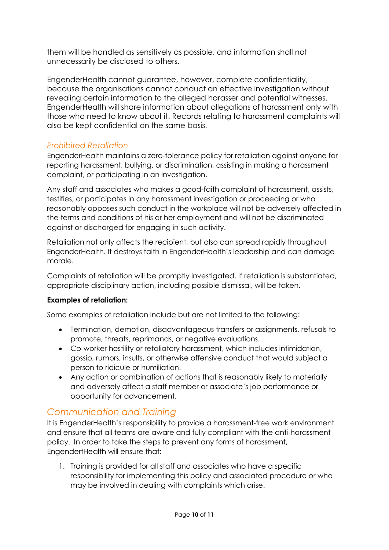them will be handled as sensitively as possible, and information shall not unnecessarily be disclosed to others.

EngenderHealth cannot guarantee, however, complete confidentiality, because the organisations cannot conduct an effective investigation without revealing certain information to the alleged harasser and potential witnesses. EngenderHealth will share information about allegations of harassment only with those who need to know about it. Records relating to harassment complaints will also be kept confidential on the same basis.

#### <span id="page-9-0"></span>*Prohibited Retaliation*

EngenderHealth maintains a zero-tolerance policy for retaliation against anyone for reporting harassment, bullying, or discrimination, assisting in making a harassment complaint, or participating in an investigation.

Any staff and associates who makes a good-faith complaint of harassment, assists, testifies, or participates in any harassment investigation or proceeding or who reasonably opposes such conduct in the workplace will not be adversely affected in the terms and conditions of his or her employment and will not be discriminated against or discharged for engaging in such activity.

Retaliation not only affects the recipient, but also can spread rapidly throughout EngenderHealth. It destroys faith in EngenderHealth's leadership and can damage morale.

Complaints of retaliation will be promptly investigated. If retaliation is substantiated, appropriate disciplinary action, including possible dismissal, will be taken.

#### **Examples of retaliation:**

Some examples of retaliation include but are not limited to the following:

- Termination, demotion, disadvantageous transfers or assignments, refusals to promote, threats, reprimands, or negative evaluations.
- Co-worker hostility or retaliatory harassment, which includes intimidation, gossip, rumors, insults, or otherwise offensive conduct that would subject a person to ridicule or humiliation.
- Any action or combination of actions that is reasonably likely to materially and adversely affect a staff member or associate's job performance or opportunity for advancement.

## <span id="page-9-1"></span>*Communication and Training*

It is EngenderHealth's responsibility to provide a harassment-free work environment and ensure that all teams are aware and fully compliant with the anti-harassment policy. In order to take the steps to prevent any forms of harassment, EngendertHealth will ensure that:

1. Training is provided for all staff and associates who have a specific responsibility for implementing this policy and associated procedure or who may be involved in dealing with complaints which arise.